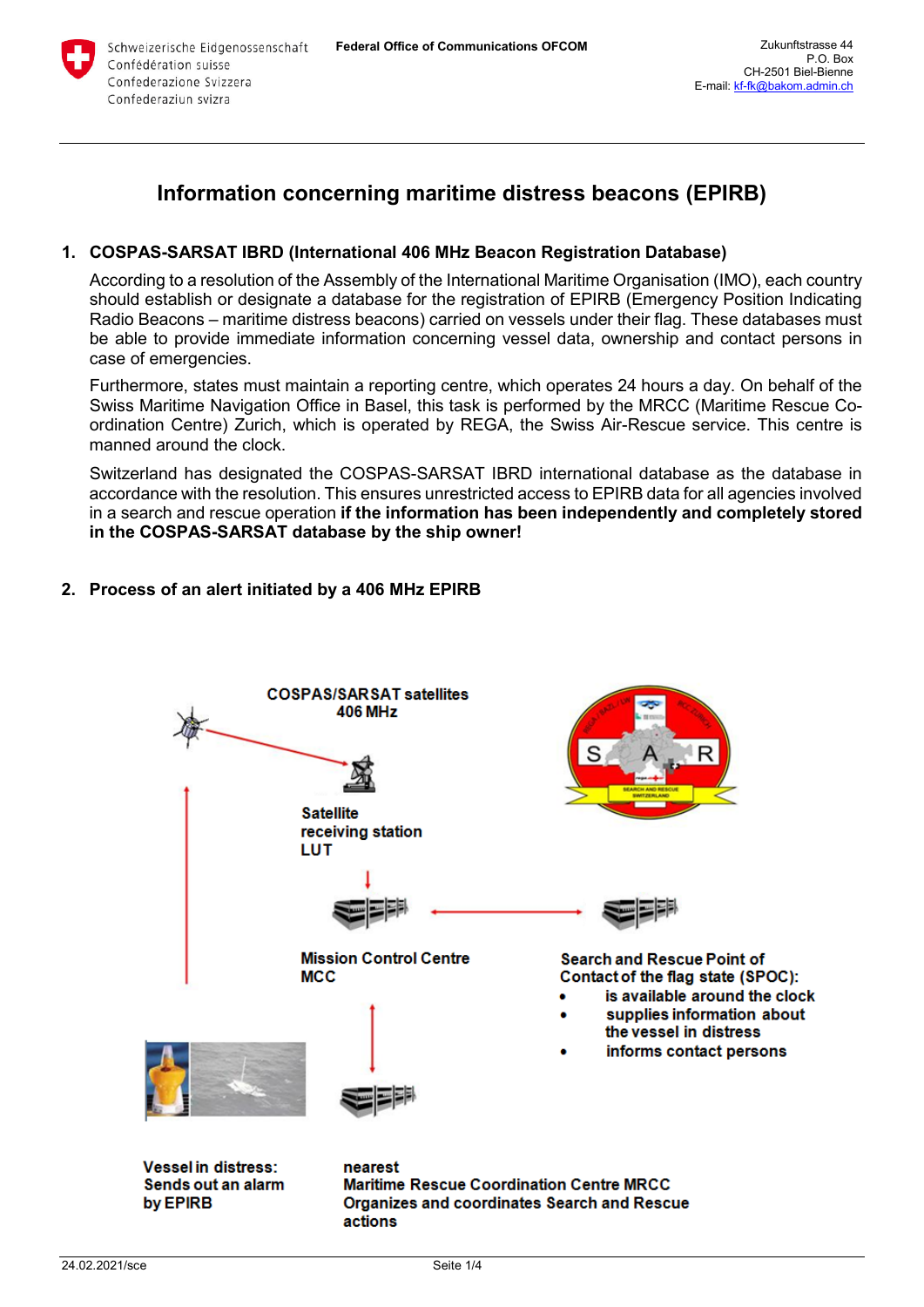

# **Information concerning maritime distress beacons (EPIRB)**

## **1. COSPAS-SARSAT IBRD (International 406 MHz Beacon Registration Database)**

According to a resolution of the Assembly of the International Maritime Organisation (IMO), each country should establish or designate a database for the registration of EPIRB (Emergency Position Indicating Radio Beacons – maritime distress beacons) carried on vessels under their flag. These databases must be able to provide immediate information concerning vessel data, ownership and contact persons in case of emergencies.

Furthermore, states must maintain a reporting centre, which operates 24 hours a day. On behalf of the Swiss Maritime Navigation Office in Basel, this task is performed by the MRCC (Maritime Rescue Coordination Centre) Zurich, which is operated by REGA, the Swiss Air-Rescue service. This centre is manned around the clock.

Switzerland has designated the COSPAS-SARSAT IBRD international database as the database in accordance with the resolution. This ensures unrestricted access to EPIRB data for all agencies involved in a search and rescue operation **if the information has been independently and completely stored in the COSPAS-SARSAT database by the ship owner!**

# **2. Process of an alert initiated by a 406 MHz EPIRB**

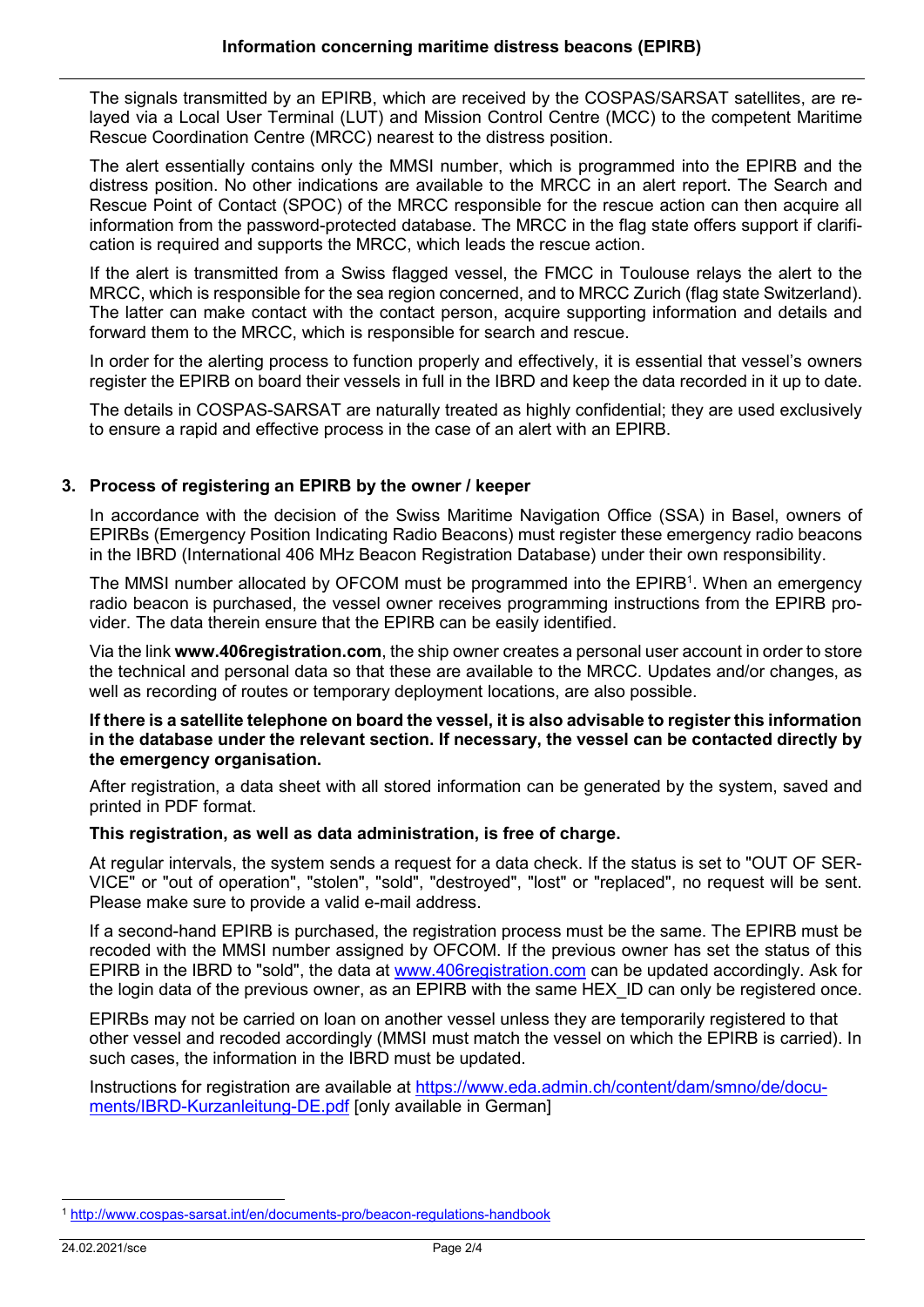The signals transmitted by an EPIRB, which are received by the COSPAS/SARSAT satellites, are relayed via a Local User Terminal (LUT) and Mission Control Centre (MCC) to the competent Maritime Rescue Coordination Centre (MRCC) nearest to the distress position.

The alert essentially contains only the MMSI number, which is programmed into the EPIRB and the distress position. No other indications are available to the MRCC in an alert report. The Search and Rescue Point of Contact (SPOC) of the MRCC responsible for the rescue action can then acquire all information from the password-protected database. The MRCC in the flag state offers support if clarification is required and supports the MRCC, which leads the rescue action.

If the alert is transmitted from a Swiss flagged vessel, the FMCC in Toulouse relays the alert to the MRCC, which is responsible for the sea region concerned, and to MRCC Zurich (flag state Switzerland). The latter can make contact with the contact person, acquire supporting information and details and forward them to the MRCC, which is responsible for search and rescue.

In order for the alerting process to function properly and effectively, it is essential that vessel's owners register the EPIRB on board their vessels in full in the IBRD and keep the data recorded in it up to date.

The details in COSPAS-SARSAT are naturally treated as highly confidential; they are used exclusively to ensure a rapid and effective process in the case of an alert with an EPIRB.

## **3. Process of registering an EPIRB by the owner / keeper**

In accordance with the decision of the Swiss Maritime Navigation Office (SSA) in Basel, owners of EPIRBs (Emergency Position Indicating Radio Beacons) must register these emergency radio beacons in the IBRD (International 406 MHz Beacon Registration Database) under their own responsibility.

The MMSI number allocated by OFCOM must be programmed into the  $\mathsf{EPIRB}^1.$  When an emergency radio beacon is purchased, the vessel owner receives programming instructions from the EPIRB provider. The data therein ensure that the EPIRB can be easily identified.

Via the link **[www.406registration.com](https://www.406registration.com/)**, the ship owner creates a personal user account in order to store the technical and personal data so that these are available to the MRCC. Updates and/or changes, as well as recording of routes or temporary deployment locations, are also possible.

#### If there is a satellite telephone on board the vessel, it is also advisable to register this information **in the database under the relevant section. If necessary, the vessel can be contacted directly by the emergency organisation.**

After registration, a data sheet with all stored information can be generated by the system, saved and printed in PDF format.

#### **This registration, as well as data administration, is free of charge.**

At regular intervals, the system sends a request for a data check. If the status is set to "OUT OF SER-VICE" or "out of operation", "stolen", "sold", "destroyed", "lost" or "replaced", no request will be sent. Please make sure to provide a valid e-mail address.

If a second-hand EPIRB is purchased, the registration process must be the same. The EPIRB must be recoded with the MMSI number assigned by OFCOM. If the previous owner has set the status of this EPIRB in the IBRD to "sold", the data at [www.406registration.com](http://www.406registration.com/) can be updated accordingly. Ask for the login data of the previous owner, as an EPIRB with the same HEX\_ID can only be registered once.

EPIRBs may not be carried on loan on another vessel unless they are temporarily registered to that other vessel and recoded accordingly (MMSI must match the vessel on which the EPIRB is carried). In such cases, the information in the IBRD must be updated.

Instructions for registration are available at [https://www.eda.admin.ch/content/dam/smno/de/docu](https://www.eda.admin.ch/content/dam/smno/de/documents/IBRD-Kurzanleitung-DE.pdf)[ments/IBRD-Kurzanleitung-DE.pdf](https://www.eda.admin.ch/content/dam/smno/de/documents/IBRD-Kurzanleitung-DE.pdf) [only available in German]

-

<sup>1</sup> <http://www.cospas-sarsat.int/en/documents-pro/beacon-regulations-handbook>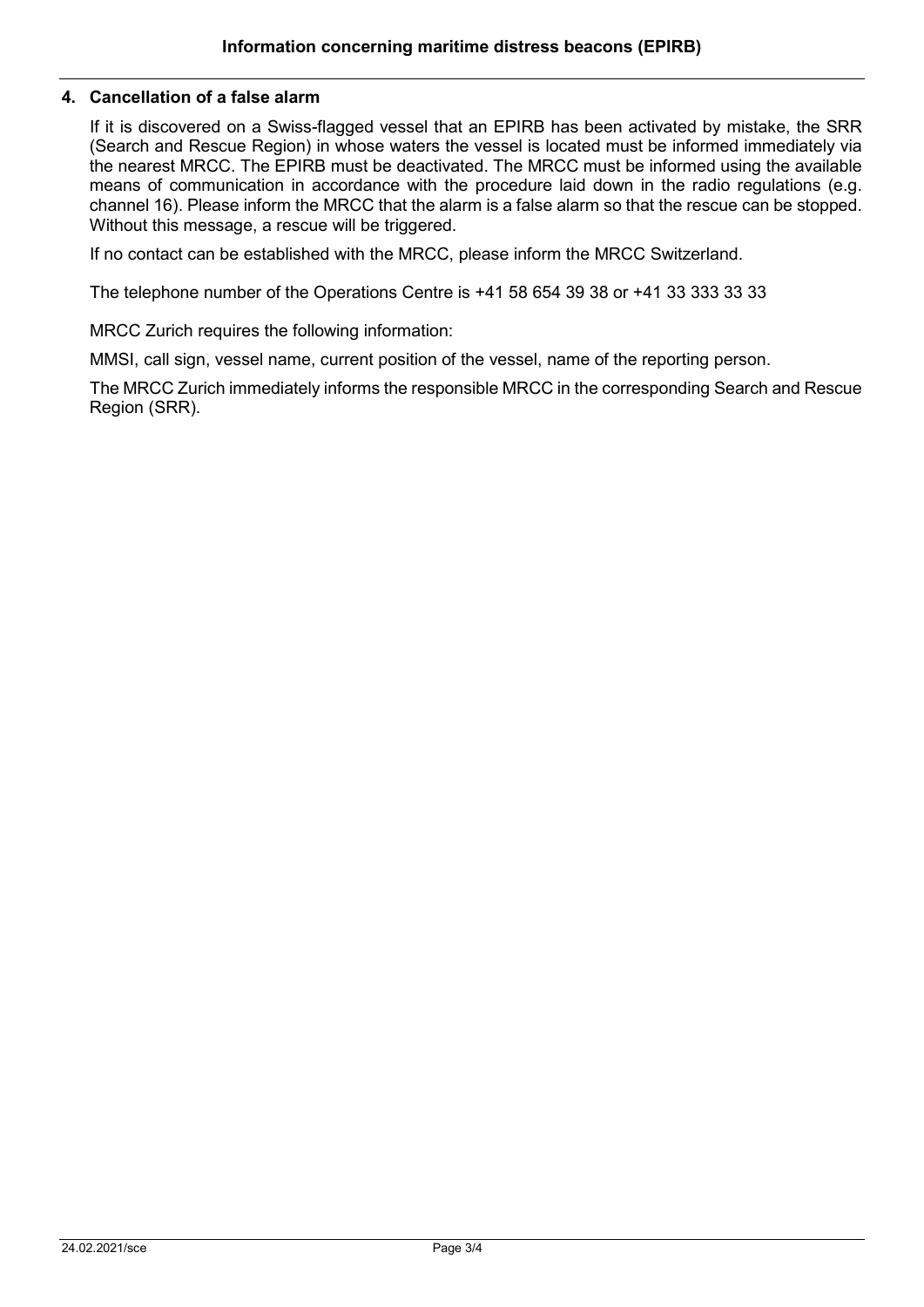### **4. Cancellation of a false alarm**

If it is discovered on a Swiss-flagged vessel that an EPIRB has been activated by mistake, the SRR (Search and Rescue Region) in whose waters the vessel is located must be informed immediately via the nearest MRCC. The EPIRB must be deactivated. The MRCC must be informed using the available means of communication in accordance with the procedure laid down in the radio regulations (e.g. channel 16). Please inform the MRCC that the alarm is a false alarm so that the rescue can be stopped. Without this message, a rescue will be triggered.

If no contact can be established with the MRCC, please inform the MRCC Switzerland.

The telephone number of the Operations Centre is +41 58 654 39 38 or +41 33 333 33 33

MRCC Zurich requires the following information:

MMSI, call sign, vessel name, current position of the vessel, name of the reporting person.

The MRCC Zurich immediately informs the responsible MRCC in the corresponding Search and Rescue Region (SRR).